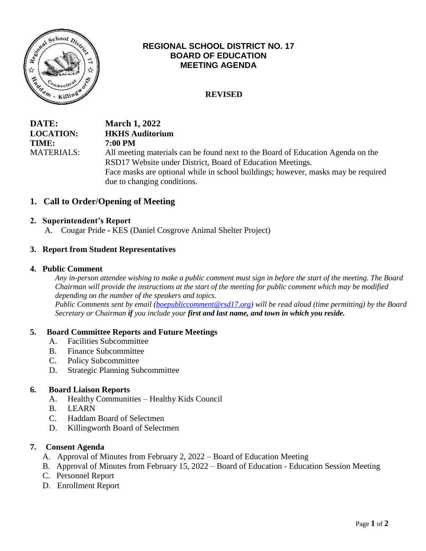

# **REGIONAL SCHOOL DISTRICT NO. 17 BOARD OF EDUCATION MEETING AGENDA**

# **REVISED**

| DATE:             | <b>March 1, 2022</b>                                                              |
|-------------------|-----------------------------------------------------------------------------------|
| <b>LOCATION:</b>  | <b>HKHS Auditorium</b>                                                            |
| <b>TIME:</b>      | <b>7:00 PM</b>                                                                    |
| <b>MATERIALS:</b> | All meeting materials can be found next to the Board of Education Agenda on the   |
|                   | RSD17 Website under District, Board of Education Meetings.                        |
|                   | Face masks are optional while in school buildings; however, masks may be required |
|                   | due to changing conditions.                                                       |

### **1. Call to Order/Opening of Meeting**

### **2. Superintendent's Report**

A. Cougar Pride **-** KES (Daniel Cosgrove Animal Shelter Project)

### **3. Report from Student Representatives**

#### **4. Public Comment**

*Any in-person attendee wishing to make a public comment must sign in before the start of the meeting. The Board Chairman will provide the instructions at the start of the meeting for public comment which may be modified depending on the number of the speakers and topics. Public Comments sent by email [\(boepubliccomment@rsd17.org\)](mailto:boepubliccomment@rsd17.org) will be read aloud (time permitting) by the Board* 

*Secretary or Chairman if you include your first and last name, and town in which you reside.* 

### **5. Board Committee Reports and Future Meetings**

- A. Facilities Subcommittee
- B. Finance Subcommittee
- C. Policy Subcommittee
- D. Strategic Planning Subcommittee

### **6. Board Liaison Reports**

- A. Healthy Communities Healthy Kids Council
- B. LEARN
- C. Haddam Board of Selectmen
- D. Killingworth Board of Selectmen

### **7. Consent Agenda**

- A. Approval of Minutes from February 2, 2022 Board of Education Meeting
- B. Approval of Minutes from February 15, 2022 Board of Education Education Session Meeting
- C. Personnel Report
- D. Enrollment Report